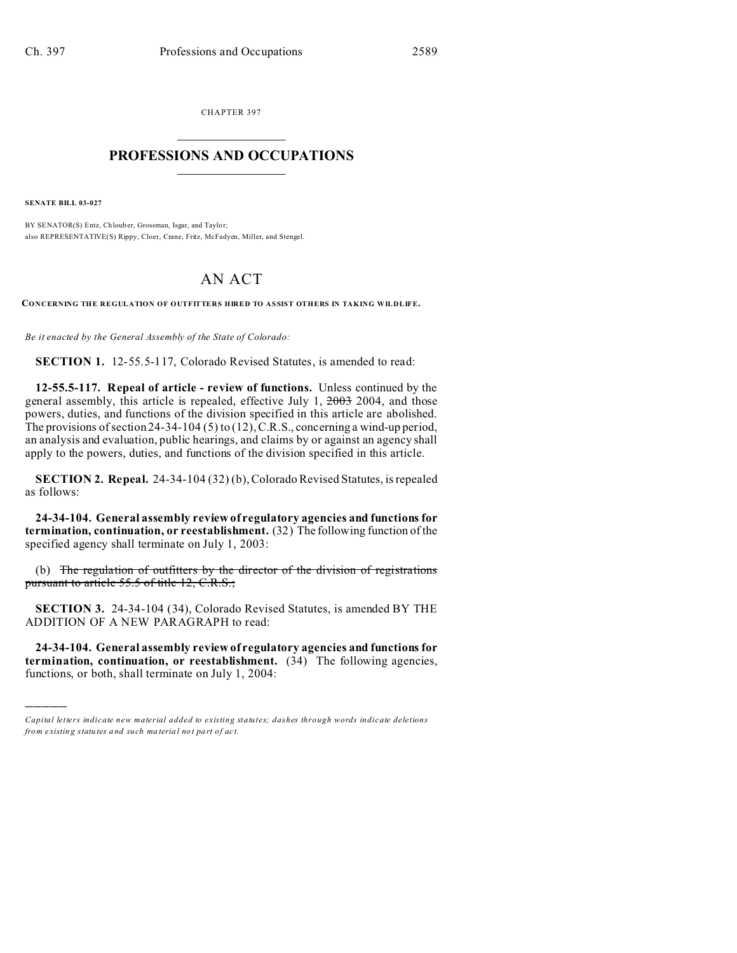CHAPTER 397  $\overline{\phantom{a}}$  , where  $\overline{\phantom{a}}$ 

## **PROFESSIONS AND OCCUPATIONS**  $\frac{1}{2}$  ,  $\frac{1}{2}$  ,  $\frac{1}{2}$  ,  $\frac{1}{2}$  ,  $\frac{1}{2}$  ,  $\frac{1}{2}$  ,  $\frac{1}{2}$

**SENATE BILL 03-027**

)))))

BY SENATOR(S) Entz, Chlouber, Grossman, Isgar, and Taylor; also REPRESENTATIVE(S) Rippy, Cloer, Crane, Fritz, McFadyen, Miller, and Stengel.

## AN ACT

**CONCERNING THE REGULATION OF OUTFITTERS HIRED TO ASSIST OTHERS IN TAKING WILDLIFE.**

*Be it enacted by the General Assembly of the State of Colorado:*

**SECTION 1.** 12-55.5-117, Colorado Revised Statutes, is amended to read:

**12-55.5-117. Repeal of article - review of functions.** Unless continued by the general assembly, this article is repealed, effective July 1, 2003 2004, and those powers, duties, and functions of the division specified in this article are abolished. The provisions of section 24-34-104 (5) to (12), C.R.S., concerning a wind-up period, an analysis and evaluation, public hearings, and claims by or against an agency shall apply to the powers, duties, and functions of the division specified in this article.

**SECTION 2. Repeal.** 24-34-104 (32) (b), Colorado Revised Statutes, is repealed as follows:

**24-34-104. General assembly review of regulatory agencies and functions for termination, continuation, or reestablishment.** (32) The following function of the specified agency shall terminate on July 1, 2003:

(b) The regulation of outfitters by the director of the division of registrations pursuant to article 55.5 of title 12, C.R.S.;

**SECTION 3.** 24-34-104 (34), Colorado Revised Statutes, is amended BY THE ADDITION OF A NEW PARAGRAPH to read:

**24-34-104. General assembly review of regulatory agencies and functions for termination, continuation, or reestablishment.** (34) The following agencies, functions, or both, shall terminate on July 1, 2004:

*Capital letters indicate new material added to existing statutes; dashes through words indicate deletions from e xistin g statu tes a nd such ma teria l no t pa rt of ac t.*